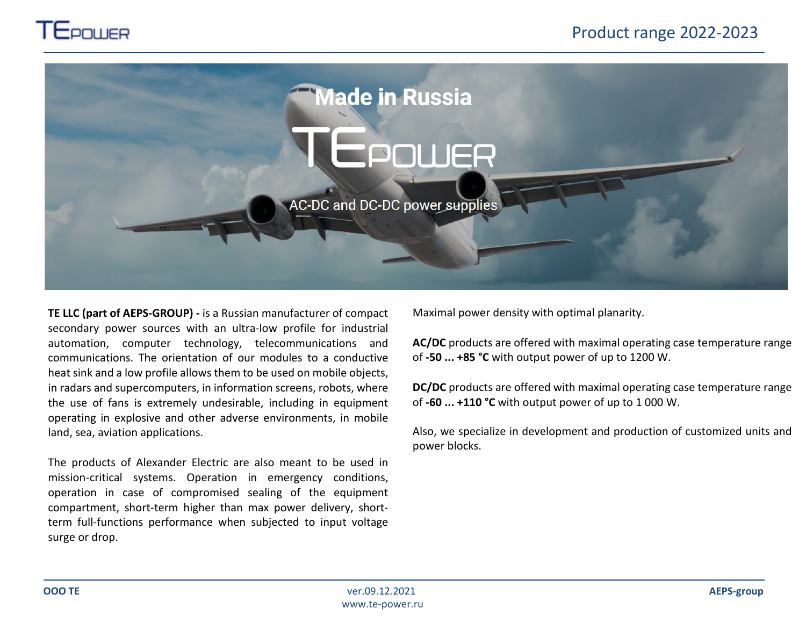



**TE LLC (part of AEPS-GROUP) -** is a Russian manufacturer of compact secondary power sources with an ultra-low profile for industrial automation, computer technology, telecommunications and communications. The orientation of our modules to a conductive heat sink and a low profile allows them to be used on mobile objects, in radars and supercomputers, in information screens, robots, where the use of fans is extremely undesirable, including in equipment operating in explosive and other adverse environments, in mobile land, sea, aviation applications.

The products of Alexander Electric are also meant to be used in mission-critical systems. Operation in emergency conditions, operation in case of compromised sealing of the equipment compartment, short-term higher than max power delivery, shortterm full-functions performance when subjected to input voltage surge or drop.

Maximal power density with optimal planarity.

**AC/DC** products are offered with maximal operating case temperature range of **-50 ... +85 °С** with output power of up to 1200 W.

**DC/DC** products are offered with maximal operating case temperature range of **-60 ... +110 °С** with output power of up to 1 000 W.

Also, we specialize in development and production of customized units and power blocks.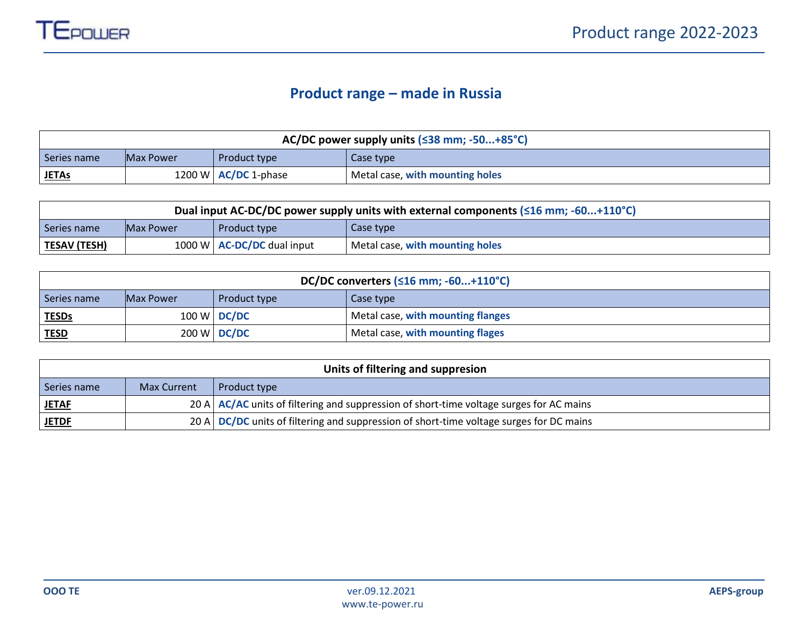## **Product range – made in Russia**

| AC/DC power supply units $( \leq 38$ mm; -50+85°C)                                   |                                               |  |  |  |  |  |  |  |  |  |  |  |
|--------------------------------------------------------------------------------------|-----------------------------------------------|--|--|--|--|--|--|--|--|--|--|--|
| Series name                                                                          | Case type<br>Product type<br><b>Max Power</b> |  |  |  |  |  |  |  |  |  |  |  |
| 1200 W $\overline{AC/DC}$ 1-phase<br><b>JETAs</b><br>Metal case, with mounting holes |                                               |  |  |  |  |  |  |  |  |  |  |  |

| Dual input AC-DC/DC power supply units with external components ( $\leq 16$ mm; -60+110°C) |  |                              |                                 |  |  |  |  |  |  |  |  |  |
|--------------------------------------------------------------------------------------------|--|------------------------------|---------------------------------|--|--|--|--|--|--|--|--|--|
| Case type<br><b>Max Power</b><br>Series name<br><b>Product type</b>                        |  |                              |                                 |  |  |  |  |  |  |  |  |  |
| <b>TESAV (TESH)</b>                                                                        |  | 1000 W $AC-DC/DC$ dual input | Metal case, with mounting holes |  |  |  |  |  |  |  |  |  |

|                                                                | DC/DC converters $(516 \text{ mm}; -60+110^{\circ}C)$ |             |                                   |  |  |  |  |  |  |  |  |  |  |
|----------------------------------------------------------------|-------------------------------------------------------|-------------|-----------------------------------|--|--|--|--|--|--|--|--|--|--|
| Series name<br>Case type<br>Product type<br><b>Max Power</b>   |                                                       |             |                                   |  |  |  |  |  |  |  |  |  |  |
| <b>TESDs</b>                                                   |                                                       | 100 W DC/DC | Metal case, with mounting flanges |  |  |  |  |  |  |  |  |  |  |
| 200 W DC/DC<br>Metal case, with mounting flages<br><b>TESD</b> |                                                       |             |                                   |  |  |  |  |  |  |  |  |  |  |

| Units of filtering and suppresion |                    |                                                                                                      |  |  |  |  |  |  |  |  |  |
|-----------------------------------|--------------------|------------------------------------------------------------------------------------------------------|--|--|--|--|--|--|--|--|--|
| Series name                       | <b>Max Current</b> | Product type                                                                                         |  |  |  |  |  |  |  |  |  |
| <u>JETAF</u>                      |                    | 20 A $\overline{AC}/AC$ units of filtering and suppression of short-time voltage surges for AC mains |  |  |  |  |  |  |  |  |  |
| <b>JETDF</b>                      |                    | 20 A $\overline{DC/DC}$ units of filtering and suppression of short-time voltage surges for DC mains |  |  |  |  |  |  |  |  |  |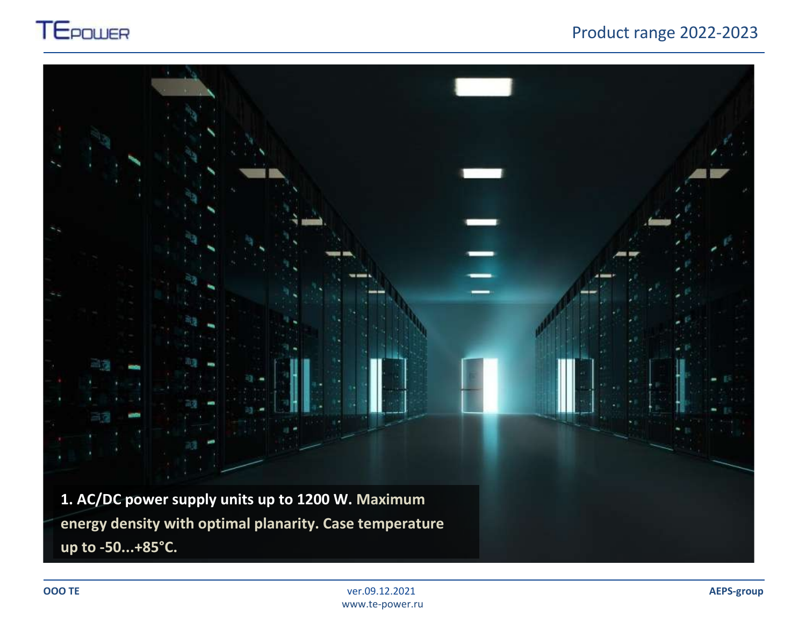

## Product range 2022-2023

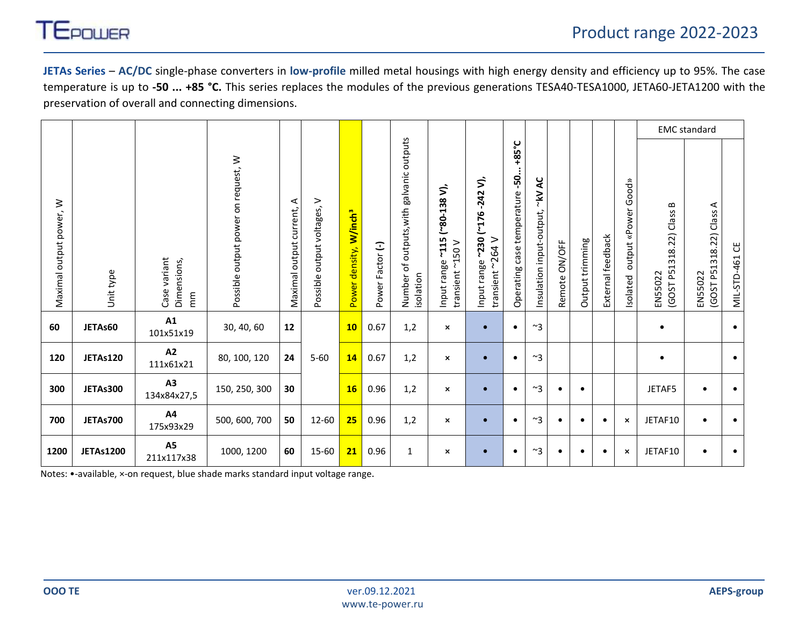

**JETAs Series** – **AC/DC** single-phase converters in **low-profile** milled metal housings with high energy density and efficiency up to 95%. The case temperature is up to **-50 ... +85 °C.** This series replaces the modules of the previous generations TESA40-TESA1000, JETA60-JETA1200 with the preservation of overall and connecting dimensions.

|                         |                  |                                                         |                                     |                              |                                |                                          |                  |                                                                               |                                                                  |                                                                    |                                                  |                                                            |                  |                    |                   |                                    |                                                          | <b>EMC</b> standard                    |                              |
|-------------------------|------------------|---------------------------------------------------------|-------------------------------------|------------------------------|--------------------------------|------------------------------------------|------------------|-------------------------------------------------------------------------------|------------------------------------------------------------------|--------------------------------------------------------------------|--------------------------------------------------|------------------------------------------------------------|------------------|--------------------|-------------------|------------------------------------|----------------------------------------------------------|----------------------------------------|------------------------------|
| Maximal output power, W | Unit type        | Case variant<br>Dimensions,<br>$\widetilde{\mathsf{m}}$ | Possible output power on request, W | ⋖<br>Maximal output current, | ><br>Possible output voltages, | Power density, <b>W/inch<sup>3</sup></b> | Power Factor (-) | outputs<br>galvanic<br>outputs, with<br>$\mathfrak{b}$<br>isolation<br>Number | ζ.<br>$80 - 138$<br>$-115$<br>transient ~150 V<br>range<br>Input | ゔ<br>$-242$<br>(176)<br>~230<br>transient ~264 V<br>range<br>Input | +85°C<br>-50<br>temperature<br>case<br>Operating | ¥<br>$\tilde{\tilde{\lambda}}$<br>Insulation input-output, | ON/OFF<br>Remote | trimming<br>Output | External feedback | Good»<br>output «Power<br>Isolated | $\bf{m}$<br>Class<br>22)<br>318.<br>(GOST P51<br>EN55022 | ⋖<br>(GOST P51318.22) Class<br>EN55022 | $\mathbbm{S}$<br>MIL-STD-461 |
| 60                      | JETAs60          | A1<br>101x51x19                                         | 30, 40, 60                          | 12                           |                                | 10 <sub>1</sub>                          | 0.67             | 1,2                                                                           | $\pmb{\times}$                                                   |                                                                    | $\bullet$                                        | $~^{\sim}$ 3                                               |                  |                    |                   |                                    | $\bullet$                                                |                                        | $\bullet$                    |
| 120                     | JETAs120         | A2<br>111x61x21                                         | 80, 100, 120                        | 24                           | $5 - 60$                       | 14                                       | 0.67             | 1,2                                                                           | $\pmb{\times}$                                                   |                                                                    | $\bullet$                                        | $~\sim$ 3                                                  |                  |                    |                   |                                    | $\bullet$                                                |                                        | $\bullet$                    |
| 300                     | JETAs300         | A3<br>134x84x27,5                                       | 150, 250, 300                       | 30                           |                                | 16                                       | 0.96             | 1,2                                                                           | $\boldsymbol{\mathsf{x}}$                                        |                                                                    | $\bullet$                                        | $~\sim$ 3                                                  | $\bullet$        | $\bullet$          |                   |                                    | JETAF5                                                   | $\bullet$                              | $\bullet$                    |
| 700                     | JETAs700         | A4<br>175x93x29                                         | 500, 600, 700                       | 50                           | 12-60                          | 25                                       | 0.96             | 1,2                                                                           | $\boldsymbol{\mathsf{x}}$                                        |                                                                    | $\bullet$                                        | $~\sim$ 3                                                  | $\bullet$        | $\bullet$          | $\bullet$         | $\boldsymbol{\mathsf{x}}$          | JETAF10                                                  | $\bullet$                              | $\bullet$                    |
| 1200                    | <b>JETAs1200</b> | A5<br>211x117x38                                        | 1000, 1200                          | 60                           | 15-60                          | 21                                       | 0.96             | $\mathbf{1}$                                                                  | $\boldsymbol{\mathsf{x}}$                                        |                                                                    | $\bullet$                                        | $~^{\sim}3$                                                |                  | ٠                  |                   | $\pmb{\times}$                     | JETAF10                                                  | $\bullet$                              | $\bullet$                    |

Notes: •-available, ×-on request, blue shade marks standard input voltage range.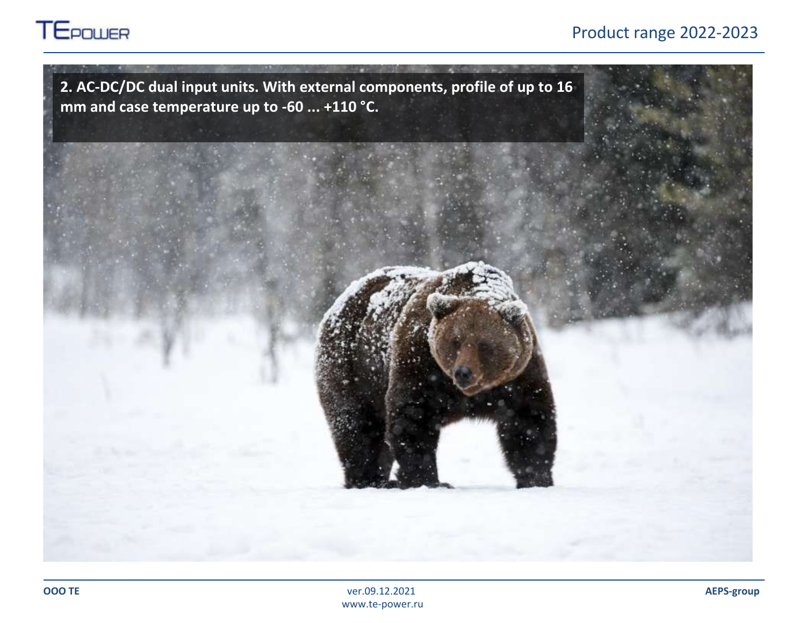

## Product range 2022-2023

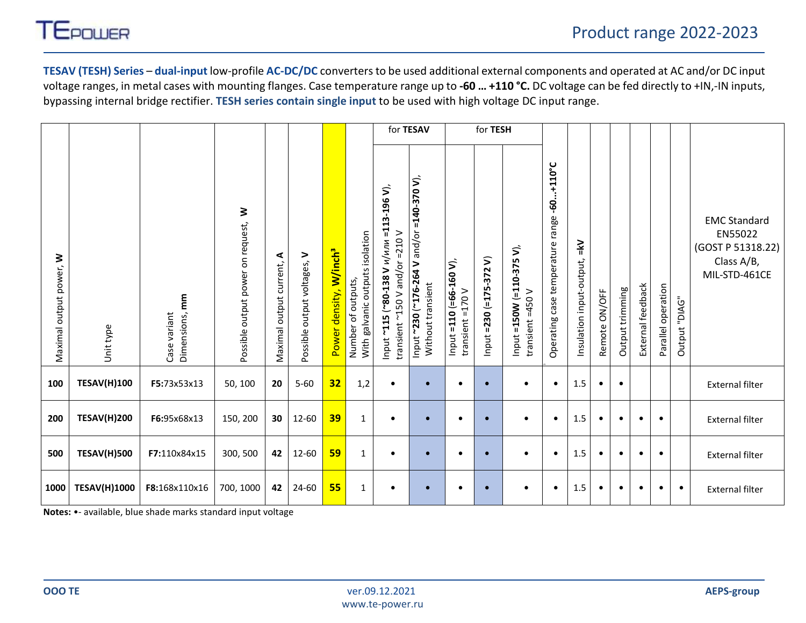

**TESAV (TESH) Series** – **dual-input** low-profile **AC-DC/DC** converters to be used additional external components and operated at AC and/or DC input voltage ranges, in metal cases with mounting flanges. Case temperature range up to **-60 … +110 °С.** DC voltage can be fed directly to +IN,-IN inputs, bypassing internal bridge rectifier. **TESH series contain single input** to be used with high voltage DC input range.

|                            |                     |                                   |                                        |                                 |                                |                                    |                                                       |                                                                                                      | for TESAV                                                               |                                                | for TESH                                     |                                               |                                                     |                                    |               |                 |                   |                    |               |                                                                                    |
|----------------------------|---------------------|-----------------------------------|----------------------------------------|---------------------------------|--------------------------------|------------------------------------|-------------------------------------------------------|------------------------------------------------------------------------------------------------------|-------------------------------------------------------------------------|------------------------------------------------|----------------------------------------------|-----------------------------------------------|-----------------------------------------------------|------------------------------------|---------------|-----------------|-------------------|--------------------|---------------|------------------------------------------------------------------------------------|
| ₹<br>Maximal output power, | Unit type           | Dimensions, mm<br>variant<br>Case | ₹<br>Possible output power on request, | ⋖<br>current,<br>Maximal output | ><br>Possible output voltages, | Power density, W/inch <sup>3</sup> | With galvanic outputs isolation<br>Number of outputs, | $=$ 113-196 V),<br>$-210V$<br>и/или<br>and/or<br>$"115"$ $"80-138"$<br>$Y$ 057<br>transient<br>Input | $= 140 - 370$ V),<br>Input ~230 (~176-264 V and/or<br>Without transient | Input =110 (=66-160 $V$ ),<br>transient =170 V | $\mathbf{z}$<br>$= 230 (-175 - 372$<br>Input | Input =150W (=110-375 V),<br>transient =450 V | $-60+110$ °C<br>range<br>Operating case temperature | $\leq$<br>Insulation input-output, | Remote ON/OFF | Output trimming | External feedback | Parallel operation | Output "DIAG" | <b>EMC Standard</b><br>EN55022<br>(GOST P 51318.22)<br>Class A/B,<br>MIL-STD-461CE |
| 100                        | <b>TESAV(H)100</b>  | F5:73x53x13                       | 50, 100                                | 20                              | $5 - 60$                       | 32                                 | 1,2                                                   | $\bullet$                                                                                            | $\bullet$                                                               | $\bullet$                                      | $\bullet$                                    | $\bullet$                                     | $\bullet$                                           | 1.5                                | $\bullet$     | $\bullet$       |                   |                    |               | <b>External filter</b>                                                             |
| 200                        | <b>TESAV(H)200</b>  | F6:95x68x13                       | 150, 200                               | 30                              | 12-60                          | 39                                 | 1                                                     | $\bullet$                                                                                            | $\bullet$                                                               | $\bullet$                                      | $\bullet$                                    | $\bullet$                                     | $\bullet$                                           | 1.5                                | $\bullet$     | $\bullet$       | $\bullet$         | $\bullet$          |               | <b>External filter</b>                                                             |
| 500                        | <b>TESAV(H)500</b>  | F7:110x84x15                      | 300, 500                               | 42                              | 12-60                          | 59                                 | $\mathbf{1}$                                          | $\bullet$                                                                                            | $\bullet$                                                               | $\bullet$                                      | $\bullet$                                    | $\bullet$                                     | $\bullet$                                           | 1.5                                | $\bullet$     | $\bullet$       | $\bullet$         | $\bullet$          |               | <b>External filter</b>                                                             |
| 1000                       | <b>TESAV(H)1000</b> | F8:168x110x16                     | 700, 1000                              | 42                              | 24-60                          | 55                                 | 1                                                     | $\bullet$                                                                                            | $\bullet$                                                               | $\bullet$                                      | $\bullet$                                    | $\bullet$                                     | $\bullet$                                           | $1.5\,$                            | $\bullet$     | $\bullet$       | $\bullet$         |                    | $\bullet$     | <b>External filter</b>                                                             |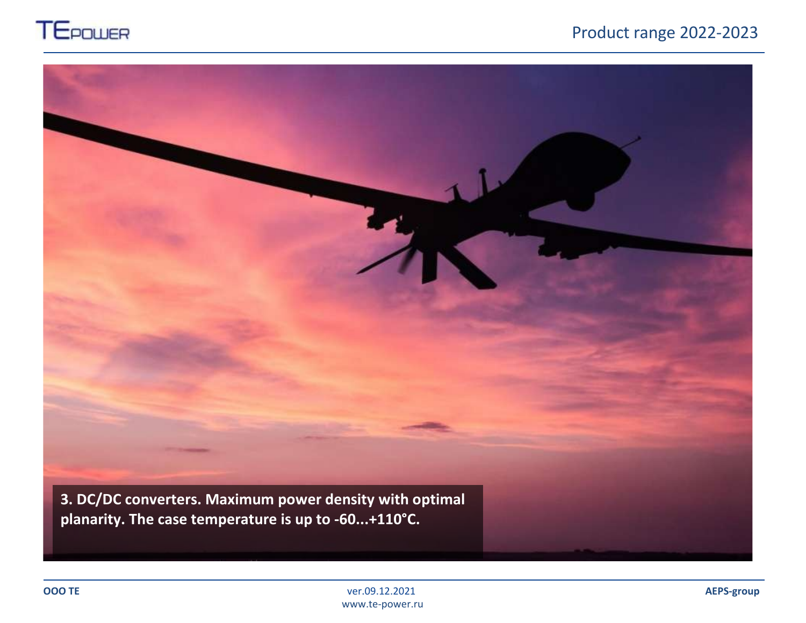

## Product range 2022-2023

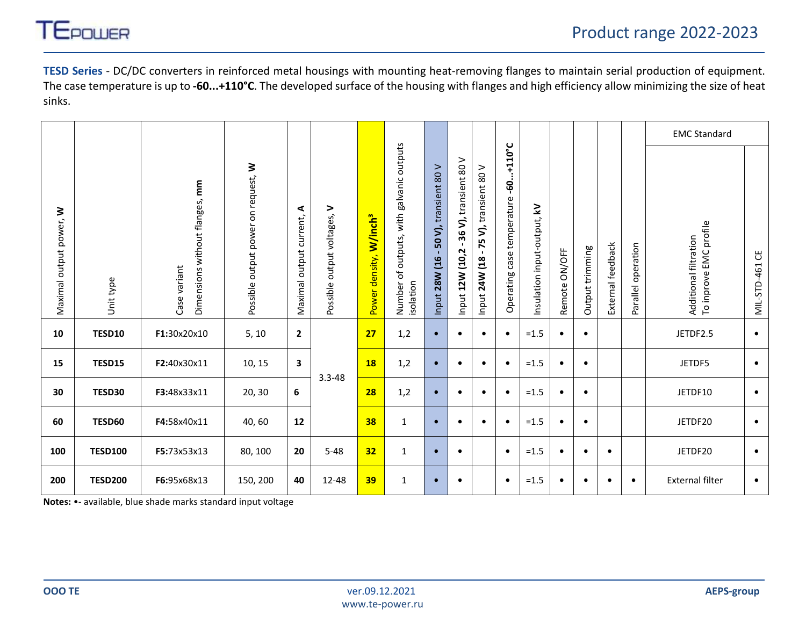

**TESD Series** - DC/DC converters in reinforced metal housings with mounting heat-removing flanges to maintain serial production of equipment. The case temperature is up to **-60...+110°C**. The developed surface of the housing with flanges and high efficiency allow minimizing the size of heat sinks.

|                         |                |                                                |                                     |                              |                             |                                    |                                                             |                                              |                                                            |                                                             |                                                     |                             |                  |                 |                   |                    | <b>EMC Standard</b>                             |                       |
|-------------------------|----------------|------------------------------------------------|-------------------------------------|------------------------------|-----------------------------|------------------------------------|-------------------------------------------------------------|----------------------------------------------|------------------------------------------------------------|-------------------------------------------------------------|-----------------------------------------------------|-----------------------------|------------------|-----------------|-------------------|--------------------|-------------------------------------------------|-----------------------|
| Maximal output power, W | Unit type      | Dimensions without flanges, mm<br>Case variant | Possible output power on request, W | ⋖<br>Maximal output current, | Possible output voltages, V | Power density, W/inch <sup>3</sup> | outputs<br>outputs, with galvanic<br>Number of<br>isolation | ⋗<br>transient 80<br>50 V),<br>Input 28W (16 | 36 V), transient 80 V<br>$\blacksquare$<br>Input 12W (10,2 | V), transient 80 V<br>54<br>$\blacksquare$<br>Input 24W (18 | $-60+110^{\circ}C$<br>case temperature<br>Operating | Insulation input-output, kV | ON/OFF<br>Remote | Output trimming | External feedback | Parallel operation | To inprove EMC profile<br>Additional filtration | <b>MIL-STD-461 CE</b> |
| 10                      | TESD10         | F1:30x20x10                                    | 5, 10                               | $\overline{2}$               |                             | 27                                 | 1,2                                                         | $\bullet$                                    | $\bullet$                                                  | $\bullet$                                                   | $\bullet$                                           | $=1.5$                      | $\bullet$        | $\bullet$       |                   |                    | JETDF2.5                                        | $\bullet$             |
| 15                      | TESD15         | F2:40x30x11                                    | 10, 15                              | 3                            |                             | <b>18</b>                          | 1,2                                                         | $\bullet$                                    | $\bullet$                                                  | $\bullet$                                                   | $\bullet$                                           | $=1.5$                      | $\bullet$        | $\bullet$       |                   |                    | JETDF5                                          | $\bullet$             |
| 30                      | TESD30         | F3:48x33x11                                    | 20, 30                              | 6                            | $3.3 - 48$                  | 28                                 | 1,2                                                         | $\bullet$                                    | $\bullet$                                                  | $\bullet$                                                   | $\bullet$                                           | $=1.5$                      | $\bullet$        | $\bullet$       |                   |                    | JETDF10                                         | $\bullet$             |
| 60                      | TESD60         | F4:58x40x11                                    | 40,60                               | 12                           |                             | 38                                 | 1                                                           | $\bullet$                                    | $\bullet$                                                  | $\bullet$                                                   | $\bullet$                                           | $=1.5$                      | $\bullet$        | $\bullet$       |                   |                    | JETDF20                                         | $\bullet$             |
| 100                     | <b>TESD100</b> | F5:73x53x13                                    | 80, 100                             | 20                           | $5 - 48$                    | 32 <sub>2</sub>                    | 1                                                           | $\bullet$                                    | $\bullet$                                                  |                                                             | $\bullet$                                           | $=1.5$                      | $\bullet$        | $\bullet$       | $\bullet$         |                    | JETDF20                                         | $\bullet$             |
| 200                     | <b>TESD200</b> | F6:95x68x13                                    | 150, 200                            | 40                           | 12-48                       | 39                                 | 1                                                           | $\bullet$                                    | $\bullet$                                                  |                                                             | $\bullet$                                           | $=1.5$                      | $\bullet$        |                 |                   | ٠                  | <b>External filter</b>                          | $\bullet$             |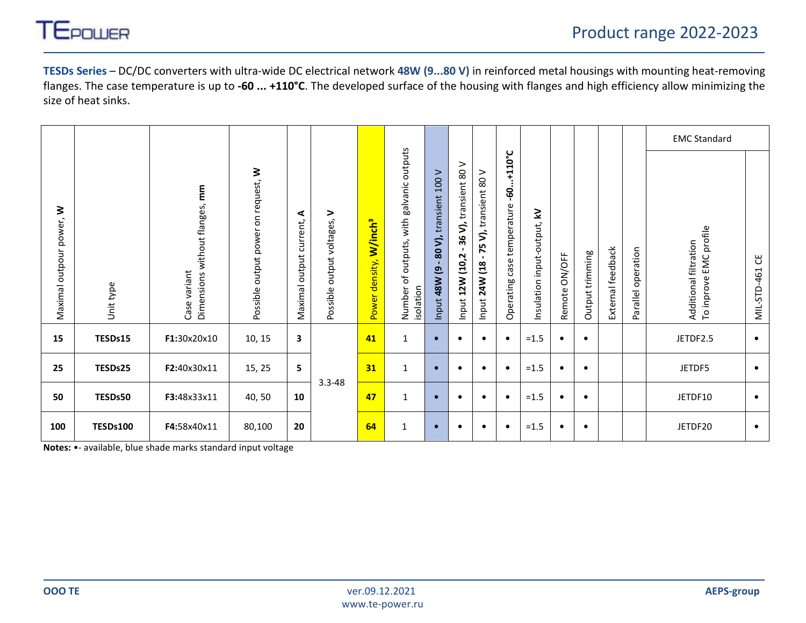

**TESDs Series** – DC/DC converters with ultra-wide DC electrical network **48W (9...80 V)** in reinforced metal housings with mounting heat-removing flanges. The case temperature is up to **-60 ... +110°C**. The developed surface of the housing with flanges and high efficiency allow minimizing the size of heat sinks.

|                                   |                 |                                                |                                        |                                 |                                   |                                    |                                                                   |                                                            |                                                |                                                                                        |                                                   |                                  |                  |                 |                   |                       | <b>EMC Standard</b>                             |                  |
|-----------------------------------|-----------------|------------------------------------------------|----------------------------------------|---------------------------------|-----------------------------------|------------------------------------|-------------------------------------------------------------------|------------------------------------------------------------|------------------------------------------------|----------------------------------------------------------------------------------------|---------------------------------------------------|----------------------------------|------------------|-----------------|-------------------|-----------------------|-------------------------------------------------|------------------|
| ₹<br>power,<br>outpour<br>Maximal | Unit type       | Dimensions without flanges, mm<br>Case variant | on request, W<br>Possible output power | ⋖<br>current,<br>Maximal output | ><br>output voltages,<br>Possible | Power density, W/inch <sup>3</sup> | outputs<br>galvanic<br>with<br>of outputs,<br>Number<br>isolation | 100V<br>transient<br>80 V),<br>$\overline{e}$<br>Input 48W | ><br>transient 80<br>36 V),<br>Input 12W (10,2 | transient 80 V<br>$\overline{\mathbf{z}}$<br>ம<br>Ñ<br>$\blacksquare$<br>Input 24W (18 | $-60+110^{\circ}$ C<br>Operating case temperature | ₹<br>input-output,<br>Insulation | ON/OFF<br>Remote | Output trimming | External feedback | operation<br>Parallel | Additional filtration<br>To inprove EMC profile | უ<br>MIL-STD-461 |
| 15                                | TESDs15         | F1:30x20x10                                    | 10, 15                                 | 3                               |                                   | 41                                 | 1                                                                 | $\bullet$                                                  | $\bullet$                                      | $\bullet$                                                                              |                                                   | $=1.5$                           | $\bullet$        | $\bullet$       |                   |                       | JETDF2.5                                        | $\bullet$        |
| 25                                | TESDs25         | F2:40x30x11                                    | 15, 25                                 | 5                               |                                   | 31                                 | $\mathbf{1}$                                                      | $\bullet$                                                  | $\bullet$                                      | $\bullet$                                                                              |                                                   | $=1.5$                           | ٠                | $\bullet$       |                   |                       | JETDF5                                          | $\bullet$        |
| 50                                | TESDs50         | F3:48x33x11                                    | 40,50                                  | 10                              | $3.3 - 48$                        | 47                                 | 1                                                                 | $\bullet$                                                  | $\bullet$                                      | $\bullet$                                                                              |                                                   | $=1.5$                           | ٠                | ٠               |                   |                       | JETDF10                                         | $\bullet$        |
| 100                               | <b>TESDs100</b> | F4:58x40x11                                    | 80,100                                 | 20                              |                                   | 64                                 | 1                                                                 | $\bullet$                                                  | ٠                                              | $\bullet$                                                                              |                                                   | $=1.5$                           | $\bullet$        |                 |                   |                       | JETDF20                                         | $\bullet$        |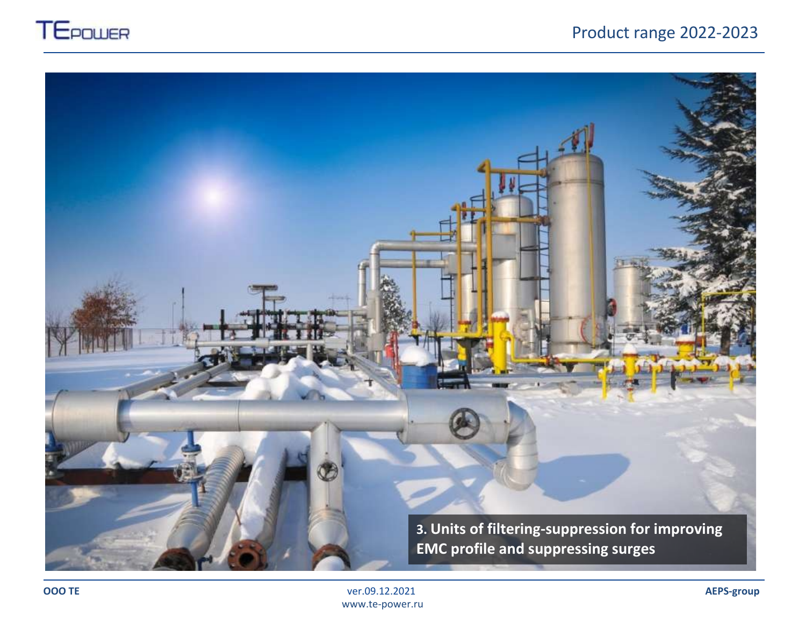

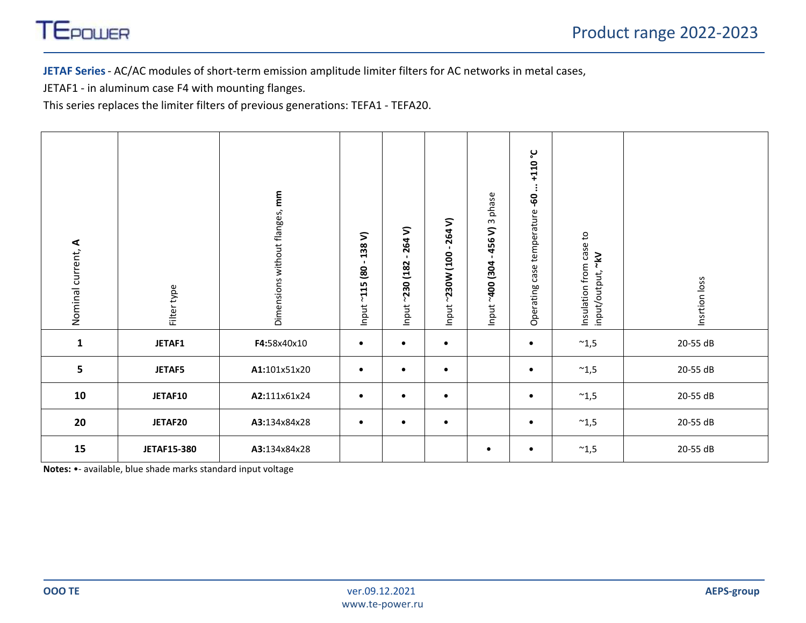

**JETAF Series**- AC/AC modules of short-term emission amplitude limiter filters for AC networks in metal cases,

JETAF1 - in aluminum case F4 with mounting flanges.

This series replaces the limiter filters of previous generations: TEFA1 - TEFA20.

| Nominal current, A | Filter type        | Dimensions without flanges, mm | 138V)<br>$\blacksquare$<br>80<br>$-115$<br>Input <sup>-</sup> | 264V)<br>$\blacksquare$<br>$-230(182)$<br>Input | $-264V$<br>Input ~230W (100 | phase<br>$\boldsymbol{\mathsf{m}}$<br>456V)<br>$\blacksquare$<br>Input ~400 (304 | -110°C<br>$\vdots$<br>Operating case temperature -60 | Insulation from case to<br>input/output, ~kV | Insrtion loss |
|--------------------|--------------------|--------------------------------|---------------------------------------------------------------|-------------------------------------------------|-----------------------------|----------------------------------------------------------------------------------|------------------------------------------------------|----------------------------------------------|---------------|
| $\mathbf{1}$       | <b>JETAF1</b>      | F4:58x40x10                    | $\bullet$                                                     | $\bullet$                                       | $\bullet$                   |                                                                                  | $\bullet$                                            | $^{\sim}$ 1,5                                | 20-55 dB      |
| 5                  | <b>JETAF5</b>      | A1:101x51x20                   | $\bullet$                                                     | $\bullet$                                       | $\bullet$                   |                                                                                  | $\bullet$                                            | $^{\sim}$ 1,5                                | 20-55 dB      |
| 10                 | JETAF10            | A2:111x61x24                   | $\bullet$                                                     | $\bullet$                                       | $\bullet$                   |                                                                                  | $\bullet$                                            | $^{\thicksim}1,5$                            | 20-55 dB      |
| 20                 | JETAF20            | A3:134x84x28                   | $\bullet$                                                     | $\bullet$                                       | $\bullet$                   |                                                                                  | $\bullet$                                            | $^{\thicksim}1,5$                            | 20-55 dB      |
| 15                 | <b>JETAF15-380</b> | A3:134x84x28                   |                                                               |                                                 |                             | $\bullet$                                                                        | $\bullet$                                            | $^{\thicksim}1,5$                            | 20-55 dB      |